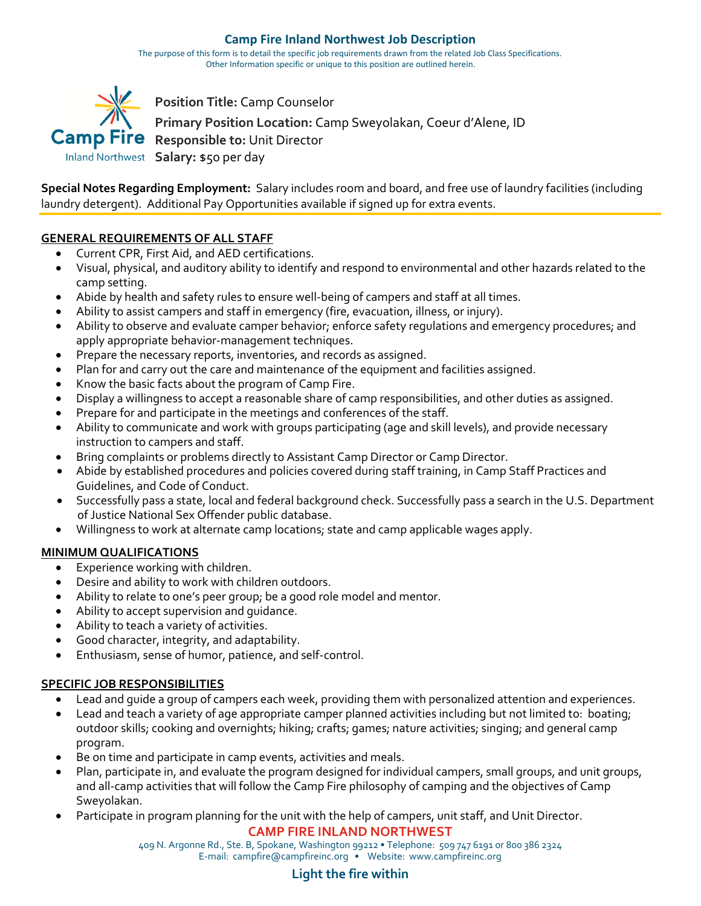#### **Camp Fire Inland Northwest Job Description**

The purpose of this form is to detail the specific job requirements drawn from the related Job Class Specifications. Other Information specific or unique to this position are outlined herein.



**Special Notes Regarding Employment:** Salary includes room and board, and free use of laundry facilities (including laundry detergent). Additional Pay Opportunities available if signed up for extra events.

## **GENERAL REQUIREMENTS OF ALL STAFF**

- Current CPR, First Aid, and AED certifications.
- Visual, physical, and auditory ability to identify and respond to environmental and other hazards related to the camp setting.
- Abide by health and safety rules to ensure well-being of campers and staff at all times.
- Ability to assist campers and staff in emergency (fire, evacuation, illness, or injury).
- Ability to observe and evaluate camper behavior; enforce safety regulations and emergency procedures; and apply appropriate behavior-management techniques.
- Prepare the necessary reports, inventories, and records as assigned.
- Plan for and carry out the care and maintenance of the equipment and facilities assigned.
- Know the basic facts about the program of Camp Fire.
- Display a willingness to accept a reasonable share of camp responsibilities, and other duties as assigned.
- Prepare for and participate in the meetings and conferences of the staff.
- Ability to communicate and work with groups participating (age and skill levels), and provide necessary instruction to campers and staff.
- Bring complaints or problems directly to Assistant Camp Director or Camp Director.
- Abide by established procedures and policies covered during staff training, in Camp Staff Practices and Guidelines, and Code of Conduct.
- Successfully pass a state, local and federal background check. Successfully pass a search in the U.S. Department of Justice National Sex Offender public database.
- Willingness to work at alternate camp locations; state and camp applicable wages apply.

## **MINIMUM QUALIFICATIONS**

- Experience working with children.
- Desire and ability to work with children outdoors.
- Ability to relate to one's peer group; be a good role model and mentor.
- Ability to accept supervision and guidance.
- Ability to teach a variety of activities.
- Good character, integrity, and adaptability.
- Enthusiasm, sense of humor, patience, and self-control.

### **SPECIFIC JOB RESPONSIBILITIES**

- Lead and guide a group of campers each week, providing them with personalized attention and experiences.
- Lead and teach a variety of age appropriate camper planned activities including but not limited to: boating; outdoor skills; cooking and overnights; hiking; crafts; games; nature activities; singing; and general camp program.
- Be on time and participate in camp events, activities and meals.
- Plan, participate in, and evaluate the program designed for individual campers, small groups, and unit groups, and all-camp activities that will follow the Camp Fire philosophy of camping and the objectives of Camp Sweyolakan.
- Participate in program planning for the unit with the help of campers, unit staff, and Unit Director.

# **CAMP FIRE INLAND NORTHWEST**

409 N. Argonne Rd., Ste. B, Spokane, Washington 99212 • Telephone: 509 747 6191 or 800 386 2324 E-mail: campfire@campfireinc.org • Website: www.campfireinc.org

# **Light the fire within**